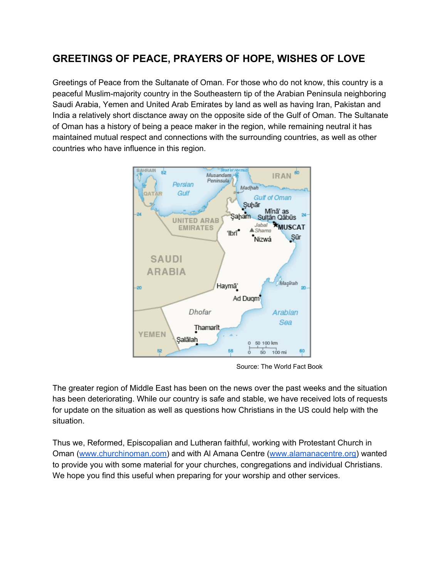# **GREETINGS OF PEACE, PRAYERS OF HOPE, WISHES OF LOVE**

Greetings of Peace from the Sultanate of Oman. For those who do not know, this country is a peaceful Muslim-majority country in the Southeastern tip of the Arabian Peninsula neighboring Saudi Arabia, Yemen and United Arab Emirates by land as well as having Iran, Pakistan and India a relatively short disctance away on the opposite side of the Gulf of Oman. The Sultanate of Oman has a history of being a peace maker in the region, while remaining neutral it has maintained mutual respect and connections with the surrounding countries, as well as other countries who have influence in this region.



Source: The World Fact Book

The greater region of Middle East has been on the news over the past weeks and the situation has been deteriorating. While our country is safe and stable, we have received lots of requests for update on the situation as well as questions how Christians in the US could help with the situation.

Thus we, Reformed, Episcopalian and Lutheran faithful, working with Protestant Church in Oman ([www.churchinoman.com\)](http://www.churchinoman.com/) and with AI Amana Centre ([www.alamanacentre.org](http://www.alamanacentre.org/)) wanted to provide you with some material for your churches, congregations and individual Christians. We hope you find this useful when preparing for your worship and other services.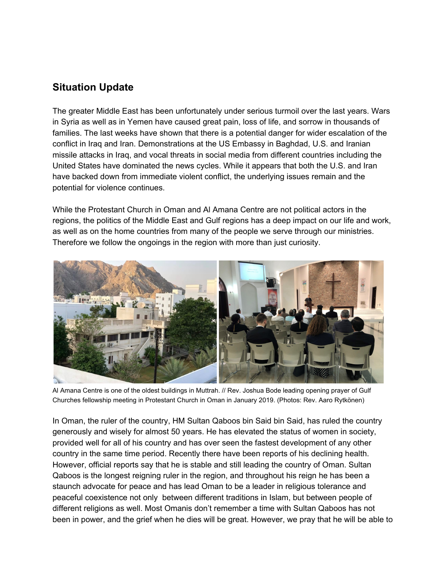### **Situation Update**

The greater Middle East has been unfortunately under serious turmoil over the last years. Wars in Syria as well as in Yemen have caused great pain, loss of life, and sorrow in thousands of families. The last weeks have shown that there is a potential danger for wider escalation of the conflict in Iraq and Iran. Demonstrations at the US Embassy in Baghdad, U.S. and Iranian missile attacks in Iraq, and vocal threats in social media from different countries including the United States have dominated the news cycles. While it appears that both the U.S. and Iran have backed down from immediate violent conflict, the underlying issues remain and the potential for violence continues.

While the Protestant Church in Oman and Al Amana Centre are not political actors in the regions, the politics of the Middle East and Gulf regions has a deep impact on our life and work, as well as on the home countries from many of the people we serve through our ministries. Therefore we follow the ongoings in the region with more than just curiosity.



Al Amana Centre is one of the oldest buildings in Muttrah. // Rev. Joshua Bode leading opening prayer of Gulf Churches fellowship meeting in Protestant Church in Oman in January 2019. (Photos: Rev. Aaro Rytkönen)

In Oman, the ruler of the country, HM Sultan Qaboos bin Said bin Said, has ruled the country generously and wisely for almost 50 years. He has elevated the status of women in society, provided well for all of his country and has over seen the fastest development of any other country in the same time period. Recently there have been reports of his declining health. However, official reports say that he is stable and still leading the country of Oman. Sultan Qaboos is the longest reigning ruler in the region, and throughout his reign he has been a staunch advocate for peace and has lead Oman to be a leader in religious tolerance and peaceful coexistence not only between different traditions in Islam, but between people of different religions as well. Most Omanis don't remember a time with Sultan Qaboos has not been in power, and the grief when he dies will be great. However, we pray that he will be able to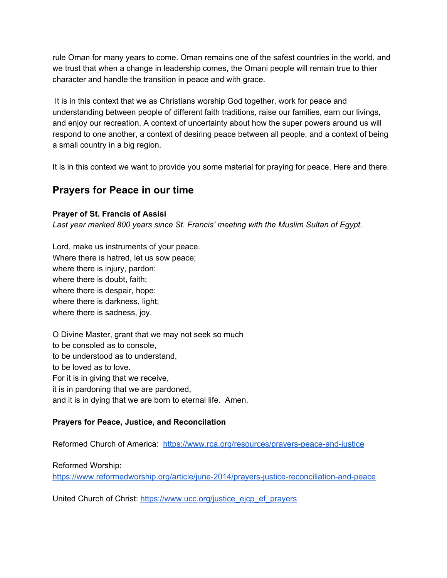rule Oman for many years to come. Oman remains one of the safest countries in the world, and we trust that when a change in leadership comes, the Omani people will remain true to thier character and handle the transition in peace and with grace.

It is in this context that we as Christians worship God together, work for peace and understanding between people of different faith traditions, raise our families, earn our livings, and enjoy our recreation. A context of uncertainty about how the super powers around us will respond to one another, a context of desiring peace between all people, and a context of being a small country in a big region.

It is in this context we want to provide you some material for praying for peace. Here and there.

### **Prayers for Peace in our time**

**Prayer of St. Francis of Assisi**

*Last year marked 800 years since St. Francis' meeting with the Muslim Sultan of Egypt.*

Lord, make us instruments of your peace. Where there is hatred, let us sow peace; where there is injury, pardon; where there is doubt, faith; where there is despair, hope; where there is darkness, light; where there is sadness, joy.

O Divine Master, grant that we may not seek so much to be consoled as to console, to be understood as to understand, to be loved as to love. For it is in giving that we receive, it is in pardoning that we are pardoned, and it is in dying that we are born to eternal life. Amen.

### **Prayers for Peace, Justice, and Reconcilation**

Reformed Church of America: <https://www.rca.org/resources/prayers-peace-and-justice>

Reformed Worship:

<https://www.reformedworship.org/article/june-2014/prayers-justice-reconciliation-and-peace>

United Church of Christ: [https://www.ucc.org/justice\\_ejcp\\_ef\\_prayers](https://www.ucc.org/justice_ejcp_ef_prayers)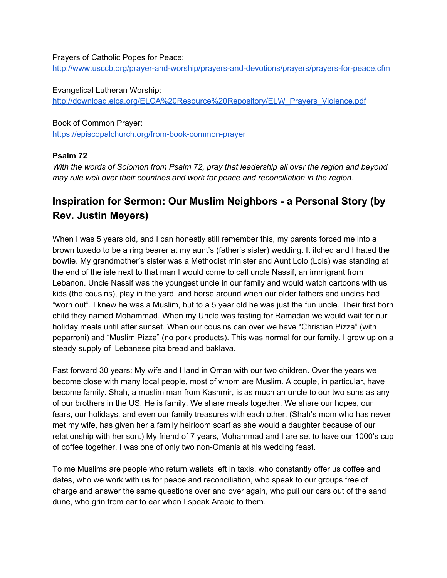#### Prayers of Catholic Popes for Peace:

<http://www.usccb.org/prayer-and-worship/prayers-and-devotions/prayers/prayers-for-peace.cfm>

Evangelical Lutheran Worship: [http://download.elca.org/ELCA%20Resource%20Repository/ELW\\_Prayers\\_Violence.pdf](http://download.elca.org/ELCA%20Resource%20Repository/ELW_Prayers_Violence.pdf)

Book of Common Prayer: <https://episcopalchurch.org/from-book-common-prayer>

#### **Psalm 72**

*With the words of Solomon from Psalm 72, pray that leadership all over the region and beyond may rule well over their countries and work for peace and reconciliation in the region*.

# **Inspiration for Sermon: Our Muslim Neighbors - a Personal Story (by Rev. Justin Meyers)**

When I was 5 years old, and I can honestly still remember this, my parents forced me into a brown tuxedo to be a ring bearer at my aunt's (father's sister) wedding. It itched and I hated the bowtie. My grandmother's sister was a Methodist minister and Aunt Lolo (Lois) was standing at the end of the isle next to that man I would come to call uncle Nassif, an immigrant from Lebanon. Uncle Nassif was the youngest uncle in our family and would watch cartoons with us kids (the cousins), play in the yard, and horse around when our older fathers and uncles had "worn out". I knew he was a Muslim, but to a 5 year old he was just the fun uncle. Their first born child they named Mohammad. When my Uncle was fasting for Ramadan we would wait for our holiday meals until after sunset. When our cousins can over we have "Christian Pizza" (with peparroni) and "Muslim Pizza" (no pork products). This was normal for our family. I grew up on a steady supply of Lebanese pita bread and baklava.

Fast forward 30 years: My wife and I land in Oman with our two children. Over the years we become close with many local people, most of whom are Muslim. A couple, in particular, have become family. Shah, a muslim man from Kashmir, is as much an uncle to our two sons as any of our brothers in the US. He is family. We share meals together. We share our hopes, our fears, our holidays, and even our family treasures with each other. (Shah's mom who has never met my wife, has given her a family heirloom scarf as she would a daughter because of our relationship with her son.) My friend of 7 years, Mohammad and I are set to have our 1000's cup of coffee together. I was one of only two non-Omanis at his wedding feast.

To me Muslims are people who return wallets left in taxis, who constantly offer us coffee and dates, who we work with us for peace and reconciliation, who speak to our groups free of charge and answer the same questions over and over again, who pull our cars out of the sand dune, who grin from ear to ear when I speak Arabic to them.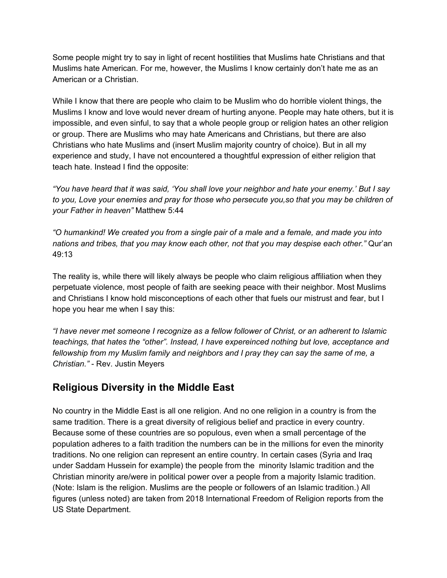Some people might try to say in light of recent hostilities that Muslims hate Christians and that Muslims hate American. For me, however, the Muslims I know certainly don't hate me as an American or a Christian.

While I know that there are people who claim to be Muslim who do horrible violent things, the Muslims I know and love would never dream of hurting anyone. People may hate others, but it is impossible, and even sinful, to say that a whole people group or religion hates an other religion or group. There are Muslims who may hate Americans and Christians, but there are also Christians who hate Muslims and (insert Muslim majority country of choice). But in all my experience and study, I have not encountered a thoughtful expression of either religion that teach hate. Instead I find the opposite:

"You have heard that it was said, 'You shall love your neighbor and hate your enemy.' But I say *to you, Love your enemies and pray for those who persecute you,so that you may be children of your Father in heaven"* Matthew 5:44

*"O humankind! We created you from a single pair of a male and a female, and made you into nations and tribes, that you may know each other, not that you may despise each other."* Qur'an 49:13

The reality is, while there will likely always be people who claim religious affiliation when they perpetuate violence, most people of faith are seeking peace with their neighbor. Most Muslims and Christians I know hold misconceptions of each other that fuels our mistrust and fear, but I hope you hear me when I say this:

*"I have never met someone I recognize as a fellow follower of Christ, or an adherent to Islamic teachings, that hates the "other". Instead, I have expereinced nothing but love, acceptance and fellowship from my Muslim family and neighbors and I pray they can say the same of me, a Christian."* - Rev. Justin Meyers

## **Religious Diversity in the Middle East**

No country in the Middle East is all one religion. And no one religion in a country is from the same tradition. There is a great diversity of religious belief and practice in every country. Because some of these countries are so populous, even when a small percentage of the population adheres to a faith tradition the numbers can be in the millions for even the minority traditions. No one religion can represent an entire country. In certain cases (Syria and Iraq under Saddam Hussein for example) the people from the minority Islamic tradition and the Christian minority are/were in political power over a people from a majority Islamic tradition. (Note: Islam is the religion. Muslims are the people or followers of an Islamic tradition.) All figures (unless noted) are taken from 2018 International Freedom of Religion reports from the US State Department.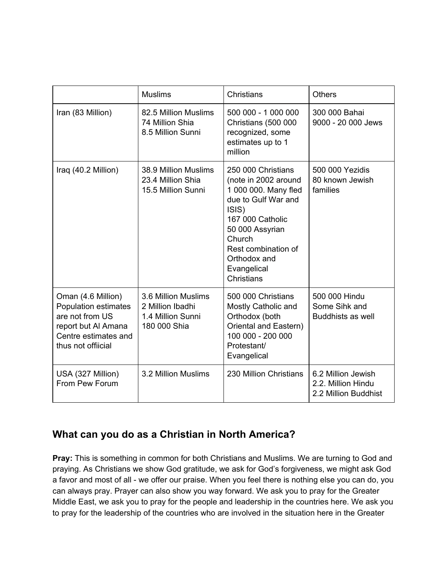|                                                                                                                                           | <b>Muslims</b>                                                               | Christians                                                                                                                                                                                                              | <b>Others</b>                                                    |
|-------------------------------------------------------------------------------------------------------------------------------------------|------------------------------------------------------------------------------|-------------------------------------------------------------------------------------------------------------------------------------------------------------------------------------------------------------------------|------------------------------------------------------------------|
| Iran (83 Million)                                                                                                                         | 82.5 Million Muslims<br>74 Million Shia<br>8.5 Million Sunni                 | 500 000 - 1 000 000<br>Christians (500 000<br>recognized, some<br>estimates up to 1<br>million                                                                                                                          | 300 000 Bahai<br>9000 - 20 000 Jews                              |
| Iraq (40.2 Million)                                                                                                                       | 38.9 Million Muslims<br>23.4 Million Shia<br>15.5 Million Sunni              | 250 000 Christians<br>(note in 2002 around<br>1 000 000. Many fled<br>due to Gulf War and<br>ISIS)<br>167 000 Catholic<br>50 000 Assyrian<br>Church<br>Rest combination of<br>Orthodox and<br>Evangelical<br>Christians | 500 000 Yezidis<br>80 known Jewish<br>families                   |
| Oman (4.6 Million)<br><b>Population estimates</b><br>are not from US<br>report but Al Amana<br>Centre estimates and<br>thus not offiicial | 3.6 Million Muslims<br>2 Million Ibadhi<br>1.4 Million Sunni<br>180 000 Shia | 500 000 Christians<br>Mostly Catholic and<br>Orthodox (both<br>Oriental and Eastern)<br>100 000 - 200 000<br>Protestant/<br>Evangelical                                                                                 | 500 000 Hindu<br>Some Sihk and<br><b>Buddhists as well</b>       |
| USA (327 Million)<br>From Pew Forum                                                                                                       | 3.2 Million Muslims                                                          | 230 Million Christians                                                                                                                                                                                                  | 6.2 Million Jewish<br>2.2. Million Hindu<br>2.2 Million Buddhist |

## **What can you do as a Christian in North America?**

**Pray:** This is something in common for both Christians and Muslims. We are turning to God and praying. As Christians we show God gratitude, we ask for God's forgiveness, we might ask God a favor and most of all - we offer our praise. When you feel there is nothing else you can do, you can always pray. Prayer can also show you way forward. We ask you to pray for the Greater Middle East, we ask you to pray for the people and leadership in the countries here. We ask you to pray for the leadership of the countries who are involved in the situation here in the Greater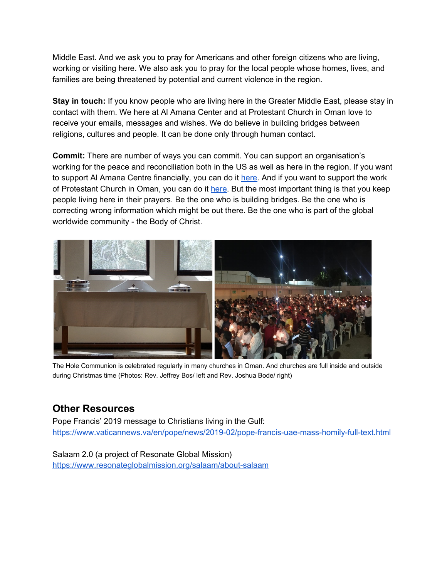Middle East. And we ask you to pray for Americans and other foreign citizens who are living, working or visiting here. We also ask you to pray for the local people whose homes, lives, and families are being threatened by potential and current violence in the region.

**Stay in touch:** If you know people who are living here in the Greater Middle East, please stay in contact with them. We here at Al Amana Center and at Protestant Church in Oman love to receive your emails, messages and wishes. We do believe in building bridges between religions, cultures and people. It can be done only through human contact.

**Commit:** There are number of ways you can commit. You can support an organisation's working for the peace and reconciliation both in the US as well as here in the region. If you want to support Al Amana Centre financially, you can do it [here](https://www.rca.org/give/al-amana-center-oman). And if you want to support the work of Protestant Church in Oman, you can do it [here.](https://www.rca.org/give/joshua-and-erica-bode-oman) But the most important thing is that you keep people living here in their prayers. Be the one who is building bridges. Be the one who is correcting wrong information which might be out there. Be the one who is part of the global worldwide community - the Body of Christ.



The Hole Communion is celebrated regularly in many churches in Oman. And churches are full inside and outside during Christmas time (Photos: Rev. Jeffrey Bos/ left and Rev. Joshua Bode/ right)

## **Other Resources**

Pope Francis' 2019 message to Christians living in the Gulf: <https://www.vaticannews.va/en/pope/news/2019-02/pope-francis-uae-mass-homily-full-text.html>

Salaam 2.0 (a project of Resonate Global Mission) <https://www.resonateglobalmission.org/salaam/about-salaam>